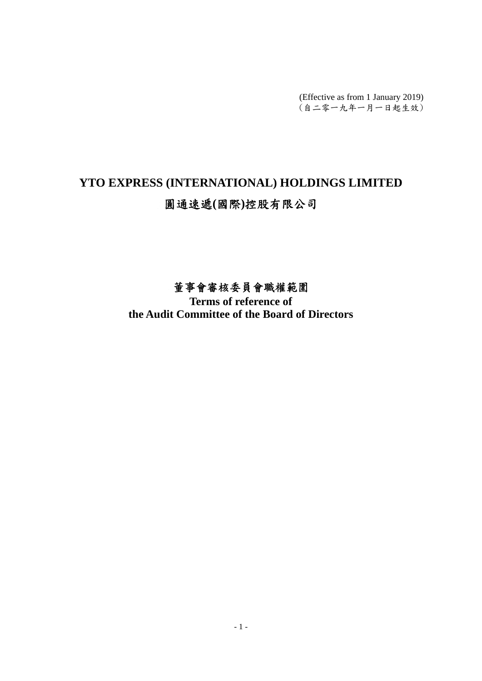(Effective as from 1 January 2019) (自二零一九年一月一日起生效)

# **YTO EXPRESS (INTERNATIONAL) HOLDINGS LIMITED**  圓通速遞**(**國際**)**控股有限公司

# 董事會審核委員會職權範圍

**Terms of reference of the Audit Committee of the Board of Directors**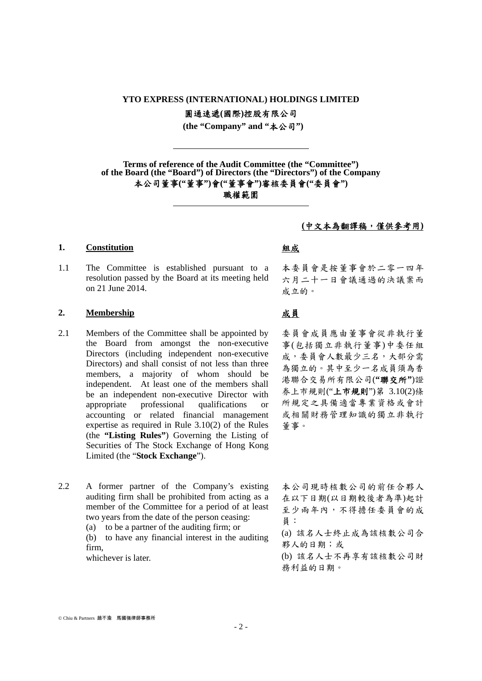### **YTO EXPRESS (INTERNATIONAL) HOLDINGS LIMITED**

圓通速遞**(**國際**)**控股有限公司

 **(the "Company" and "**本公司**")** 

**Terms of reference of the Audit Committee (the "Committee") of the Board (the "Board") of Directors (the "Directors") of the Company**  本公司董事**("**董事**")**會**("**董事會**")**審核委員會**("**委員會**")** 

職權範圍

### **1. Constitution** 組成

1.1 The Committee is established pursuant to a resolution passed by the Board at its meeting held on 21 June 2014.

-

<u>.</u>

### 2. Membership **2. 成員**

- 2.1 Members of the Committee shall be appointed by the Board from amongst the non-executive Directors (including independent non-executive Directors) and shall consist of not less than three members, a majority of whom should be independent. At least one of the members shall be an independent non-executive Director with appropriate professional qualifications or accounting or related financial management expertise as required in Rule 3.10(2) of the Rules (the **"Listing Rules"**) Governing the Listing of Securities of The Stock Exchange of Hong Kong Limited (the "**Stock Exchange**").
- 2.2 A former partner of the Company's existing auditing firm shall be prohibited from acting as a member of the Committee for a period of at least two years from the date of the person ceasing:
	- (a) to be a partner of the auditing firm; or

(b) to have any financial interest in the auditing firm,

whichever is later.

### **(**中文本為翻譯稿,僅供參考用**)**

本委員會是按董事會於二零一四年 六月二十一日會議通過的決議案而 成立的。

委員會成員應由董事會從非執行董 事(包括獨立非執行董事)中委任組 成,委員會人數最少三名,大部分需 為獨立的。其中至少一名成員須為香 港聯合交易所有限公司(**"**聯交所**"**)證 券上市規則("上市規則")第 3.10(2)條 所規定之具備適當專業資格或會計 或相關財務管理知識的獨立非執行 董事。

本公司現時核數公司的前任合夥人 在以下日期(以日期較後者為準)起計 至少兩年內,不得擔任委員會的成 員:

(a) 該名人士終止成為該核數公司合 夥人的日期;或

(b) 該名人士不再享有該核數公司財 務利益的日期。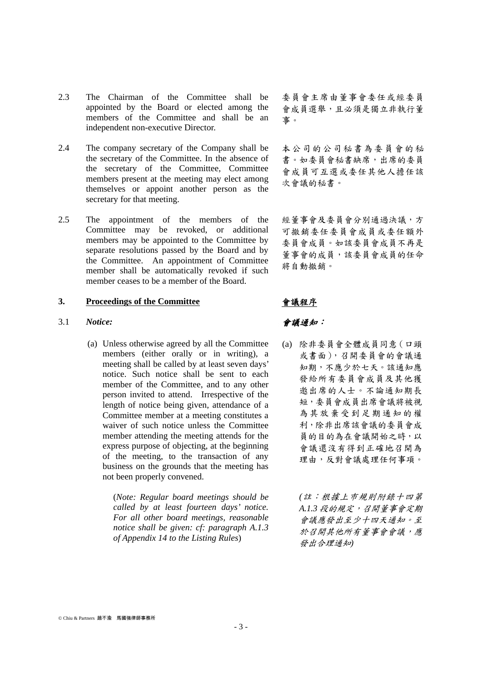- 2.3 The Chairman of the Committee shall be appointed by the Board or elected among the members of the Committee and shall be an independent non-executive Director.
- 2.4 The company secretary of the Company shall be the secretary of the Committee. In the absence of the secretary of the Committee, Committee members present at the meeting may elect among themselves or appoint another person as the secretary for that meeting.
- 2.5 The appointment of the members of the Committee may be revoked, or additional members may be appointed to the Committee by separate resolutions passed by the Board and by the Committee. An appointment of Committee member shall be automatically revoked if such member ceases to be a member of the Board.

### **3. Proceedings of the Committee** 會議程序

- 3.1 *Notice:* 會議通知:
	- (a) Unless otherwise agreed by all the Committee members (either orally or in writing), a meeting shall be called by at least seven days' notice. Such notice shall be sent to each member of the Committee, and to any other person invited to attend. Irrespective of the length of notice being given, attendance of a Committee member at a meeting constitutes a waiver of such notice unless the Committee member attending the meeting attends for the express purpose of objecting, at the beginning of the meeting, to the transaction of any business on the grounds that the meeting has not been properly convened.

 (*Note: Regular board meetings should be called by at least fourteen days' notice. For all other board meetings, reasonable notice shall be given: cf: paragraph A.1.3 of Appendix 14 to the Listing Rules*)

委員會主席由董事會委任或經委員 會成員選舉,且必須是獨立非執行董 事。

本公司的公司秘書為委員會的秘 書。如委員會秘書缺席,出席的委員 會成員可互選或委任其他人擔任該 次會議的秘書。

經董事會及委員會分別通過決議,方 可撤銷委任委員會成員或委任額外 委員會成員。如該委員會成員不再是 董事會的成員,該委員會成員的任命 將自動撤銷。

(a) 除非委員會全體成員同意(口頭 或書面),召開委員會的會議通 知期,不應少於七天。該通知應 發給所有委員會成員及其他獲 邀出席的人士。不論通知期長 短,委員會成員出席會議將被視 為其放棄受到足期通知的權 利,除非出席該會議的委員會成 員的目的為在會議開始之時,以 會議還沒有得到正確地召開為 理由,反對會議處理任何事項。

> *(*註:根據上巿規則附錄十四第 *A.1.3* 段的規定,召開董事會定期 會議應發出至少十四天通知。至 於召開其他所有董事會會議,應 發出合理通知*)*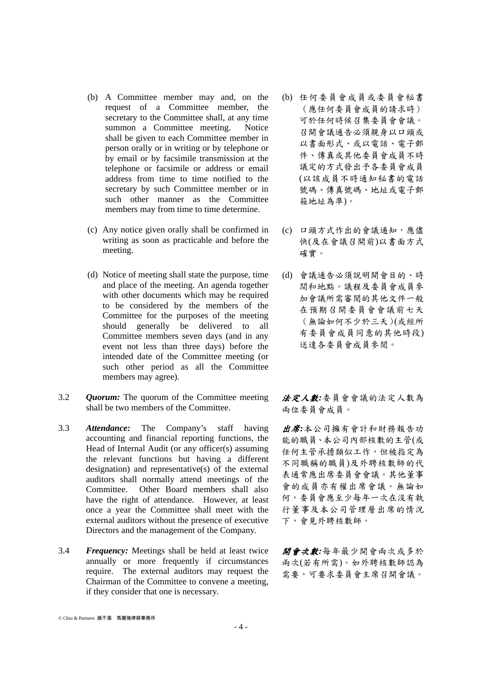- (b) A Committee member may and, on the request of a Committee member, the secretary to the Committee shall, at any time summon a Committee meeting. Notice shall be given to each Committee member in person orally or in writing or by telephone or by email or by facsimile transmission at the telephone or facsimile or address or email address from time to time notified to the secretary by such Committee member or in such other manner as the Committee members may from time to time determine.
- (c) Any notice given orally shall be confirmed in writing as soon as practicable and before the meeting.
- (d) Notice of meeting shall state the purpose, time and place of the meeting. An agenda together with other documents which may be required to be considered by the members of the Committee for the purposes of the meeting should generally be delivered to all Committee members seven days (and in any event not less than three days) before the intended date of the Committee meeting (or such other period as all the Committee members may agree).
- 3.2 *Quorum:* The quorum of the Committee meeting shall be two members of the Committee.
- 3.3 *Attendance:* The Company's staff having accounting and financial reporting functions, the Head of Internal Audit (or any officer(s) assuming the relevant functions but having a different designation) and representative(s) of the external auditors shall normally attend meetings of the Committee. Other Board members shall also have the right of attendance. However, at least once a year the Committee shall meet with the external auditors without the presence of executive Directors and the management of the Company.
- 3.4 *Frequency:* Meetings shall be held at least twice annually or more frequently if circumstances require. The external auditors may request the Chairman of the Committee to convene a meeting, if they consider that one is necessary.
- (b) 任何委員會成員或委員會秘書 (應任何委員會成員的請求時) 可於任何時候召集委員會會議。 召開會議通告必須親身以口頭或 以書面形式、或以電話、電子郵 件、傳真或其他委員會成員不時 議定的方式發出予各委員會成員 (以該成員不時通知秘書的電話 號碼、傳真號碼、地址或電子郵 箱地址為準)。
- (c) 口頭方式作出的會議通知,應儘 快(及在會議召開前)以書面方式 確實。
- (d) 會議通告必須說明開會目的、時 間和地點。議程及委員會成員參 加會議所需審閱的其他文件一般 在預期召開委員會會議前七天 (無論如何不少於三天)(或經所 有委員會成員同意的其他時段) 送達各委員會成員參閱。

法定人數*:*委員會會議的法定人數為 兩位委員會成員。

出席*:*本公司擁有會計和財務報告功 能的職員、本公司內部核數的主管(或 任何主管承擔類似工作,但被指定為 不同職稱的職員)及外聘核數師的代 表通常應出席委員會會議。其他董事 會的成員亦有權出席會議。無論如 何,委員會應至少每年一次在沒有執 行董事及本公司管理層出席的情況 下,會見外聘核數師。

開會次數*:*每年最少開會兩次或多於 兩次(若有所需)。如外聘核數師認為 需要,可要求委員會主席召開會議。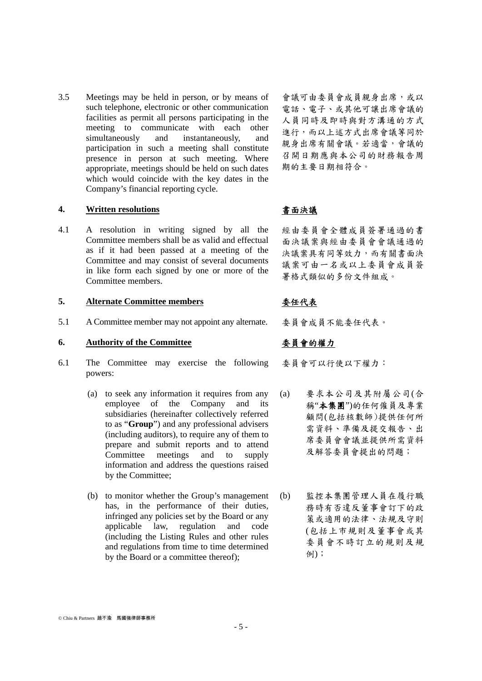3.5 Meetings may be held in person, or by means of such telephone, electronic or other communication facilities as permit all persons participating in the meeting to communicate with each other simultaneously and instantaneously, and participation in such a meeting shall constitute presence in person at such meeting. Where appropriate, meetings should be held on such dates which would coincide with the key dates in the Company's financial reporting cycle.

### **4. Written resolutions** 書面決議

4.1 A resolution in writing signed by all the Committee members shall be as valid and effectual as if it had been passed at a meeting of the Committee and may consist of several documents in like form each signed by one or more of the Committee members.

### 5. Alternate Committee members  $*$  - 委任代表

5.1 A Committee member may not appoint any alternate. 委員會成員不能委任代表。

### **6. Authority of the Committee** 委員會的權力

- 6.1 The Committee may exercise the following powers:
	- (a) to seek any information it requires from any employee of the Company and its subsidiaries (hereinafter collectively referred to as "**Group**") and any professional advisers (including auditors), to require any of them to prepare and submit reports and to attend Committee meetings and to supply information and address the questions raised by the Committee;
	- (b) to monitor whether the Group's management has, in the performance of their duties, infringed any policies set by the Board or any applicable law, regulation and code (including the Listing Rules and other rules and regulations from time to time determined by the Board or a committee thereof);

會議可由委員會成員親身出席,或以 電話、電子、或其他可讓出席會議的 人員同時及即時與對方溝通的方式 進行,而以上述方式出席會議等同於 親身出席有關會議。若適當,會議的 召開日期應與本公司的財務報告周 期的主要日期相符合。

經由委員會全體成員簽署通過的書 面決議案與經由委員會會議通過的 決議案具有同等效力,而有關書面決 議案可由一名或以上委員會成員簽 署格式類似的多份文件組成。

委員會可以行使以下權力:

- (a) 要求本公司及其附屬公司(合 稱"本集團")的任何僱員及專業 顧問(包括核數師)提供任何所 需資料、準備及提交報告、出 席委員會會議並提供所需資料 及解答委員會提出的問題;
- (b) 監控本集團管理人員在履行職 務時有否違反董事會訂下的政 策或適用的法律、法規及守則 (包括上市規則及董事會或其 委員會不時訂立的規則及規 例);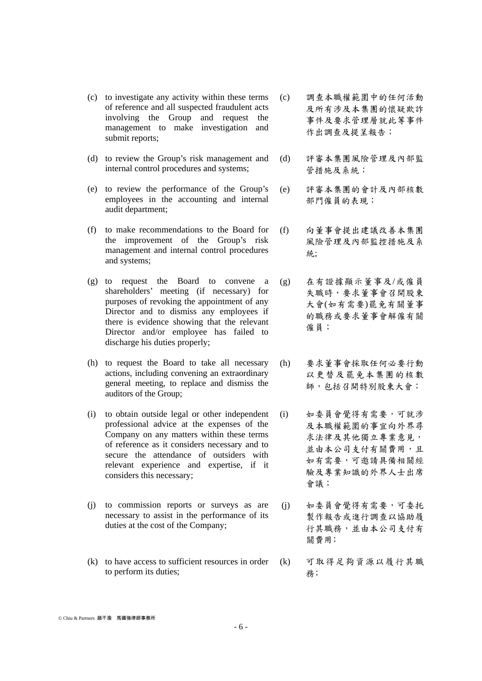- (c) to investigate any activity within these terms of reference and all suspected fraudulent acts involving the Group and request the management to make investigation and submit reports;
- (d) to review the Group's risk management and internal control procedures and systems;
- (e) to review the performance of the Group's employees in the accounting and internal audit department;
- (f) to make recommendations to the Board for the improvement of the Group's risk management and internal control procedures and systems;
- (g) to request the Board to convene a shareholders' meeting (if necessary) for purposes of revoking the appointment of any Director and to dismiss any employees if there is evidence showing that the relevant Director and/or employee has failed to discharge his duties properly;
- (h) to request the Board to take all necessary actions, including convening an extraordinary general meeting, to replace and dismiss the auditors of the Group;
- (i) to obtain outside legal or other independent professional advice at the expenses of the Company on any matters within these terms of reference as it considers necessary and to secure the attendance of outsiders with relevant experience and expertise, if it considers this necessary;
- (j) to commission reports or surveys as are necessary to assist in the performance of its duties at the cost of the Company;
- (k) to have access to sufficient resources in order to perform its duties;
- (c) 調查本職權範圍中的任何活動 及所有涉及本集團的懷疑欺詐 事件及要求管理層就此等事件 作出調查及提呈報告;
- (d) 評審本集團風險管理及內部監 管措施及系統;
- (e) 評審本集團的會計及內部核數 部門僱員的表現;
- (f) 向董事會提出建議改善本集團 風險管理及內部監控措施及系 統;
- (g) 在有證據顯示董事及/或僱員 失職時,要求董事會召開股東 大會(如有需要)罷免有關董事 的職務或要求董事會解僱有關 僱員;
- (h) 要求董事會採取任何必要行動 以更替及罷免本集團的核數 師,包括召開特別股東大會;
- (i) 如委員會覺得有需要,可就涉 及本職權範圍的事宜向外界尋 求法律及其他獨立專業意見, 並由本公司支付有關費用,且 如有需要,可邀請具備相關經 驗及專業知識的外界人士出席 會議;
- (j) 如委員會覺得有需要,可委托 製作報告或進行調查以協助履 行其職務,並由本公司支付有 關費用;
- (k) 可取得足夠資源以履行其職 務﹔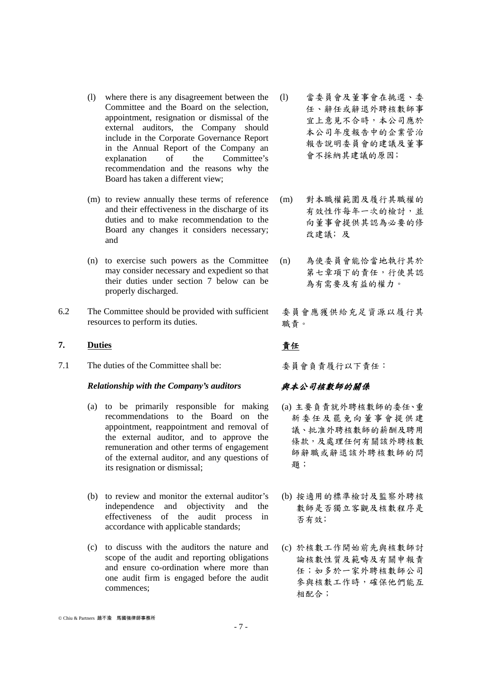- (l) where there is any disagreement between the Committee and the Board on the selection, appointment, resignation or dismissal of the external auditors, the Company should include in the Corporate Governance Report in the Annual Report of the Company an explanation of the Committee's recommendation and the reasons why the Board has taken a different view;
- (m) to review annually these terms of reference and their effectiveness in the discharge of its duties and to make recommendation to the Board any changes it considers necessary; and
- (n) to exercise such powers as the Committee may consider necessary and expedient so that their duties under section 7 below can be properly discharged.
- 6.2 The Committee should be provided with sufficient resources to perform its duties.

### 7. Duties **busines busines busines 责任**

7.1 The duties of the Committee shall be: 委員會負責履行以下責任:

### *Relationship with the Company's auditors* 與本公司核數師的關係

- (a) to be primarily responsible for making recommendations to the Board on the appointment, reappointment and removal of the external auditor, and to approve the remuneration and other terms of engagement of the external auditor, and any questions of its resignation or dismissal;
- (b) to review and monitor the external auditor's independence and objectivity and the effectiveness of the audit process in accordance with applicable standards;
- (c) to discuss with the auditors the nature and scope of the audit and reporting obligations and ensure co-ordination where more than one audit firm is engaged before the audit commences;
- (l) 當委員會及董事會在挑選、委 任、辭任或辭退外聘核數師事 宜上意見不合時,本公司應於 本公司年度報告中的企業管治 報告說明委員會的建議及董事 會不採納其建議的原因;
- (m) 對本職權範圍及履行其職權的 有效性作每年一次的檢討,並 向董事會提供其認為必要的修 改建議;及
- (n) 為使委員會能恰當地執行其於 第七章項下的責任,行使其認 為有需要及有益的權力。

委員會應獲供給充足資源以履行其 職責。

- (a) 主要負責就外聘核數師的委任、重 新委任及罷免向董事會提供建 議、批准外聘核數師的薪酬及聘用 條款,及處理任何有關該外聘核數 師辭職或辭退該外聘核數師的問 題;
- (b) 按適用的標準檢討及監察外聘核 數師是否獨立客觀及核數程序是 否有效;
- (c) 於核數工作開始前先與核數師討 論核數性質及範疇及有關申報責 任;如多於一家外聘核數師公司 參與核數工作時,確保他們能互 相配合;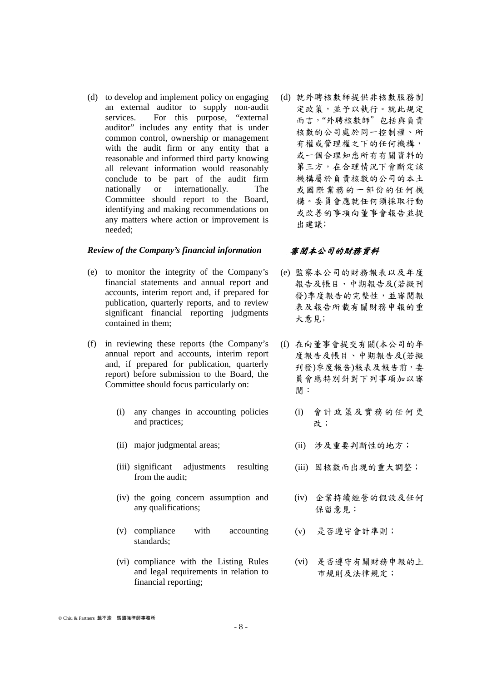(d) to develop and implement policy on engaging an external auditor to supply non-audit services. For this purpose, "external auditor" includes any entity that is under common control, ownership or management with the audit firm or any entity that a reasonable and informed third party knowing all relevant information would reasonably conclude to be part of the audit firm nationally or internationally. The Committee should report to the Board, identifying and making recommendations on any matters where action or improvement is needed;

### *Review of the Company's financial information* 審閱本公司的財務資料

- (e) to monitor the integrity of the Company's financial statements and annual report and accounts, interim report and, if prepared for publication, quarterly reports, and to review significant financial reporting judgments contained in them;
- (f) in reviewing these reports (the Company's annual report and accounts, interim report and, if prepared for publication, quarterly report) before submission to the Board, the Committee should focus particularly on:
	- (i) any changes in accounting policies and practices;
	-
	- (iii) significant adjustments resulting from the audit;
	- (iv) the going concern assumption and any qualifications;
	- (v) compliance with accounting standards;
	- (vi) compliance with the Listing Rules and legal requirements in relation to financial reporting;

(d) 就外聘核數師提供非核數服務制 定政策,並予以執行。就此規定 而言,"外聘核數師"包括與負責 核數的公司處於同一控制權、所 有權或管理權之下的任何機構, 或一個合理知悉所有有關資料的 第三方,在合理情況下會斷定該 機構屬於負責核數的公司的本土 或國際業務的一部份的任何機 構。委員會應就任何須採取行動 或改善的事項向董事會報告並提 出建議;

- (e) 監察本公司的財務報表以及年度 報告及帳目、中期報告及(若擬刊 發)季度報告的完整性,並審閱報 表及報告所載有關財務申報的重 大意見;
- (f) 在向董事會提交有關(本公司的年 度報告及帳目、中期報告及(若擬 刋發)季度報告)報表及報告前,委 員會應特別針對下列事項加以審 閱:
	- (i) 會計政策及實務的任何更 改;
- (ii) major judgmental areas; (ii) 涉及重要判斷性的地方;
	- (iii) 因核數而出現的重大調整;
	- (iv) 企業持續經營的假設及任何 保留意見;
	- (v) 是否遵守會計準則;
	- (vi) 是否遵守有關財務申報的上 巿規則及法律規定;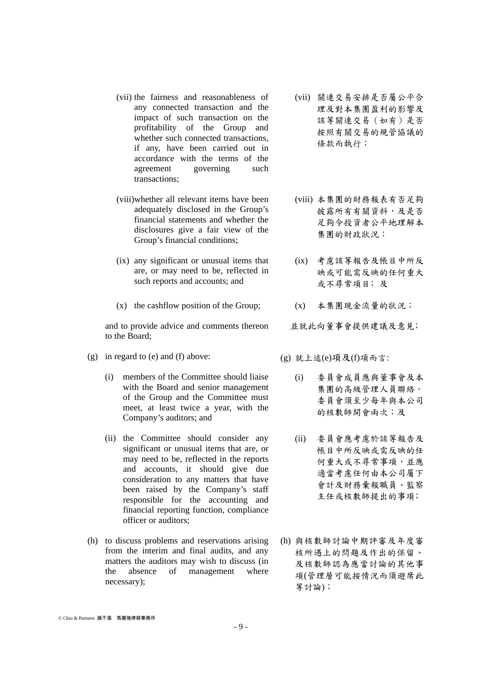- (vii) the fairness and reasonableness of any connected transaction and the impact of such transaction on the profitability of the Group and whether such connected transactions, if any, have been carried out in accordance with the terms of the agreement governing such transactions;
- (viii)whether all relevant items have been adequately disclosed in the Group's financial statements and whether the disclosures give a fair view of the Group's financial conditions;
- (ix) any significant or unusual items that are, or may need to be, reflected in such reports and accounts; and
- (x) the cashflow position of the Group; (x) 本集團現金流量的狀況;

 and to provide advice and comments thereon to the Board;

- (g) in regard to (e) and (f) above:  $(g)$  就上述(e)項及(f)項而言:
	- (i) members of the Committee should liaise with the Board and senior management of the Group and the Committee must meet, at least twice a year, with the Company's auditors; and
	- (ii) the Committee should consider any significant or unusual items that are, or may need to be, reflected in the reports and accounts, it should give due consideration to any matters that have been raised by the Company's staff responsible for the accounting and financial reporting function, compliance officer or auditors;
- (h) to discuss problems and reservations arising from the interim and final audits, and any matters the auditors may wish to discuss (in the absence of management where necessary);
- (vii) 關連交易安排是否屬公平合 理及對本集團盈利的影響及 該等關連交易(如有)是否 按照有關交易的規管協議的 條款而執行;
- (viii) 本集團的財務報表有否足夠 披露所有有關資料,及是否 足夠令投資者公平地理解本 集團的財政狀況;
- (ix) 考慮該等報告及帳目中所反 映或可能需反映的任何重大 或不尋常項目;及
- 
- 並就此向董事會提供建議及意見;

- (i) 委員會成員應與董事會及本 集團的高級管理人員聯絡。 委員會須至少每年與本公司 的核數師開會兩次;及
- (ii) 委員會應考慮於該等報告及 帳目中所反映或需反映的任 何重大或不尋常事項,並應 適當考慮任何由本公司屬下 會計及財務彙報職員、監察 主任或核數師提出的事項;
- (h) 與核數師討論中期評審及年度審 核所遇上的問題及作出的保留、 及核數師認為應當討論的其他事 項(管理層可能按情況而須避席此 等討論);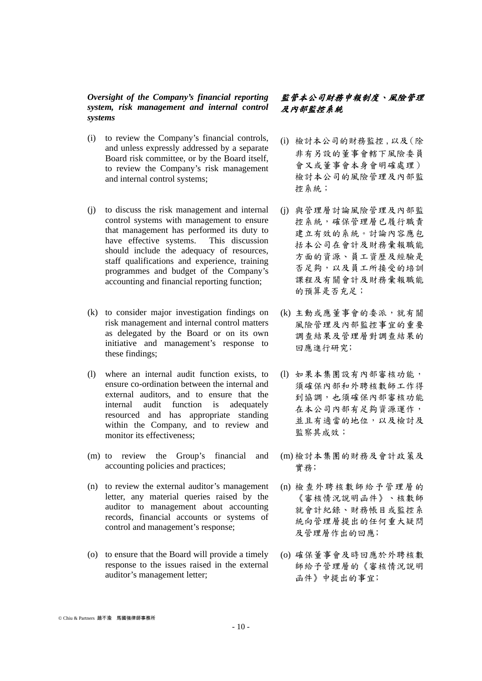### *Oversight of the Company's financial reporting system, risk management and internal control systems*

- (i) to review the Company's financial controls, and unless expressly addressed by a separate Board risk committee, or by the Board itself, to review the Company's risk management and internal control systems;
- (j) to discuss the risk management and internal control systems with management to ensure that management has performed its duty to have effective systems. This discussion should include the adequacy of resources, staff qualifications and experience, training programmes and budget of the Company's accounting and financial reporting function;
- (k) to consider major investigation findings on risk management and internal control matters as delegated by the Board or on its own initiative and management's response to these findings;
- (l) where an internal audit function exists, to ensure co-ordination between the internal and external auditors, and to ensure that the internal audit function is adequately resourced and has appropriate standing within the Company, and to review and monitor its effectiveness;
- (m) to review the Group's financial and accounting policies and practices;
- (n) to review the external auditor's management letter, any material queries raised by the auditor to management about accounting records, financial accounts or systems of control and management's response;
- (o) to ensure that the Board will provide a timely response to the issues raised in the external auditor's management letter;

## 監管本公司財務申報制度、風險管理 及內部監控系統

- (i) 檢討本公司的財務監控,以及(除 非有另設的董事會轄下風險委員 會又或董事會本身會明確處理) 檢討本公司的風險管理及內部監 控系統;
- (j) 與管理層討論風險管理及內部監 控系統,確保管理層已履行職責 建立有效的系統。討論內容應包 括本公司在會計及財務彙報職能 方面的資源、員工資歷及經驗是 否足夠,以及員工所接受的培訓 課程及有關會計及財務彙報職能 的預算是否充足;
- (k) 主動或應董事會的委派,就有關 風險管理及內部監控事宜的重要 調查結果及管理層對調查結果的 回應進行研究;
- (l) 如果本集團設有內部審核功能, 須確保內部和外聘核數師工作得 到協調,也須確保內部審核功能 在本公司內部有足夠資源運作, 並且有適當的地位,以及檢討及 監察其成效;
- (m) 檢討本集團的財務及會計政策及 實務;
- (n) 檢查外聘核數師給予管理層的 《審核情況說明函件》、核數師 就會計紀錄、財務帳目或監控系 統向管理層提出的任何重大疑問 及管理層作出的回應;
- (o) 確保董事會及時回應於外聘核數 師給予管理層的《審核情況說明 函件》中提出的事宜;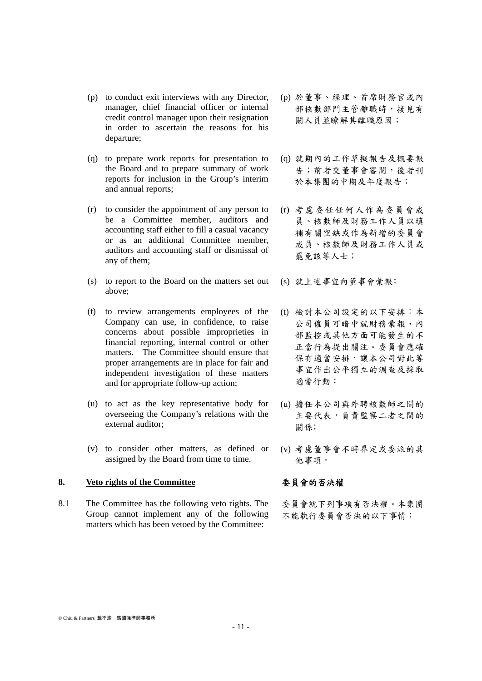- (p) to conduct exit interviews with any Director, manager, chief financial officer or internal credit control manager upon their resignation in order to ascertain the reasons for his departure;
- (q) to prepare work reports for presentation to the Board and to prepare summary of work reports for inclusion in the Group's interim and annual reports;
- (r) to consider the appointment of any person to be a Committee member, auditors and accounting staff either to fill a casual vacancy or as an additional Committee member, auditors and accounting staff or dismissal of any of them;
- (s) to report to the Board on the matters set out above;
- (t) to review arrangements employees of the Company can use, in confidence, to raise concerns about possible improprieties in financial reporting, internal control or other matters. The Committee should ensure that proper arrangements are in place for fair and independent investigation of these matters and for appropriate follow-up action;
- (u) to act as the key representative body for overseeing the Company's relations with the external auditor;
- (v) to consider other matters, as defined or assigned by the Board from time to time.

### **8. Veto rights of the Committee** 委員會的否決權

8.1 The Committee has the following veto rights. The Group cannot implement any of the following matters which has been vetoed by the Committee:

- (p) 於董事、經理、首席財務官或內 部核數部門主管離職時,接見有 關人員並瞭解其離職原因;
- (q) 就期內的工作草擬報告及概要報 告;前者交董事會審閱,後者刊 於本集團的中期及年度報告;
- (r) 考慮委任任何人作為委員會成 員、核數師及財務工作人員以填 補有關空缺或作為新增的委員會 成員、核數師及財務工作人員或 罷免該等人士;
- (s) 就上述事宜向董事會彙報﹔
- (t) 檢討本公司設定的以下安排:本 公司僱員可暗中就財務彙報、內 部監控或其他方面可能發生的不 正當行為提出關注。委員會應確 保有適當安排,讓本公司對此等 事宜作出公平獨立的調查及採取 適當行動;
- (u) 擔任本公司與外聘核數師之間的 主要代表,負責監察二者之間的 關係;
- (v) 考慮董事會不時界定或委派的其 他事項。

委員會就下列事項有否決權。本集團 不能執行委員會否決的以下事情: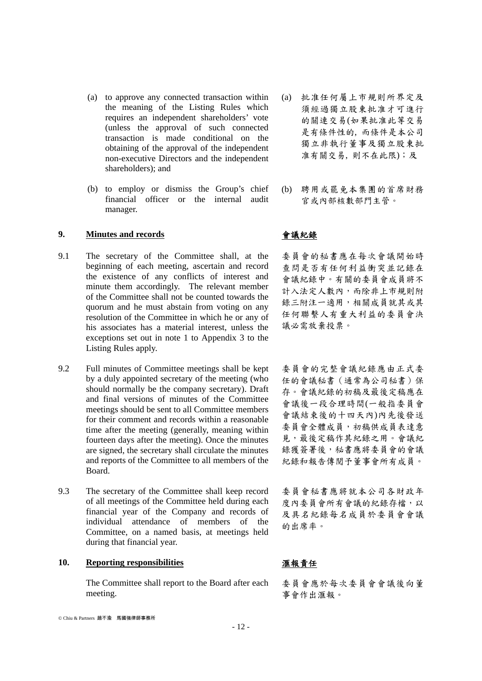- (a) to approve any connected transaction within the meaning of the Listing Rules which requires an independent shareholders' vote (unless the approval of such connected transaction is made conditional on the obtaining of the approval of the independent non-executive Directors and the independent shareholders); and
- (b) to employ or dismiss the Group's chief financial officer or the internal audit manager.

### **9. Minutes and records** 會議紀錄

- 9.1 The secretary of the Committee shall, at the beginning of each meeting, ascertain and record the existence of any conflicts of interest and minute them accordingly. The relevant member of the Committee shall not be counted towards the quorum and he must abstain from voting on any resolution of the Committee in which he or any of his associates has a material interest, unless the exceptions set out in note 1 to Appendix 3 to the Listing Rules apply.
- 9.2 Full minutes of Committee meetings shall be kept by a duly appointed secretary of the meeting (who should normally be the company secretary). Draft and final versions of minutes of the Committee meetings should be sent to all Committee members for their comment and records within a reasonable time after the meeting (generally, meaning within fourteen days after the meeting). Once the minutes are signed, the secretary shall circulate the minutes and reports of the Committee to all members of the Board.
- 9.3 The secretary of the Committee shall keep record of all meetings of the Committee held during each financial year of the Company and records of individual attendance of members of the Committee, on a named basis, at meetings held during that financial year.

### 10. Reporting responsibilities **10. 雷報責任**

 The Committee shall report to the Board after each meeting.

- (a) 批准任何屬上市規則所界定及 須經過獨立股東批准才可進行 的關連交易(如果批准此等交易 是有條件性的, 而條件是本公司 獨立非執行董事及獨立股東批 准有關交易, 則不在此限);及
- (b) 聘用或罷免本集團的首席財務 官或內部核數部門主管。

委員會的秘書應在每次會議開始時 查問是否有任何利益衝突並記錄在 會議紀錄中。有關的委員會成員將不 計入法定人數內,而除非上市規則附 錄三附注一適用,相關成員就其或其 任何聯繫人有重大利益的委員會決 議必需放棄投票。

委員會的完整會議紀錄應由正式委 任的會議秘書(通常為公司秘書)保 存。會議紀錄的初稿及最後定稿應在 會議後一段合理時間(一般指委員會 會議結束後的十四天內)內先後發送 委員會全體成員,初稿供成員表達意 見,最後定稿作其紀錄之用。會議紀 錄獲簽署後,秘書應將委員會的會議 紀錄和報告傳閱予董事會所有成員。

委員會秘書應將就本公司各財政年 度內委員會所有會議的紀錄存檔,以 及具名紀錄每名成員於委員會會議 的出席率。

委員會應於每次委員會會議後向董 事會作出滙報。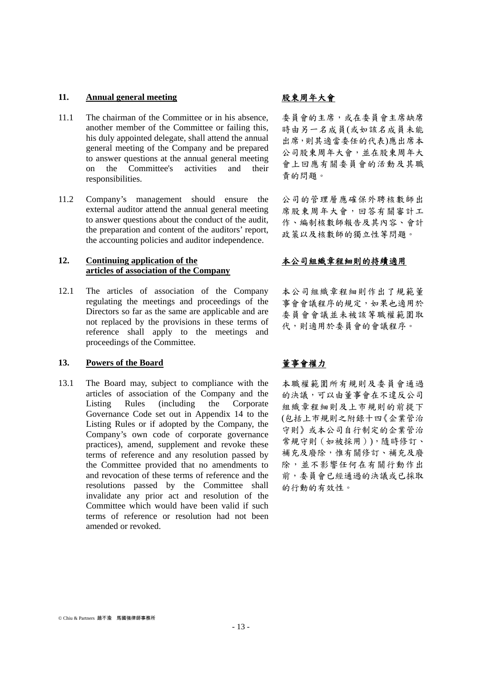### 11. **Annual general meeting https://www.margaretial.com/**股東周年大會

- 11.1 The chairman of the Committee or in his absence, another member of the Committee or failing this, his duly appointed delegate, shall attend the annual general meeting of the Company and be prepared to answer questions at the annual general meeting on the Committee's activities and their responsibilities.
- 11.2 Company's management should ensure the external auditor attend the annual general meeting to answer questions about the conduct of the audit, the preparation and content of the auditors' report, the accounting policies and auditor independence.

### **12. Continuing application of the articles of association of the Company**

12.1 The articles of association of the Company regulating the meetings and proceedings of the Directors so far as the same are applicable and are not replaced by the provisions in these terms of reference shall apply to the meetings and proceedings of the Committee.

### **13. Powers of the Board** 董事會權力

13.1 The Board may, subject to compliance with the articles of association of the Company and the Listing Rules (including the Corporate Governance Code set out in Appendix 14 to the Listing Rules or if adopted by the Company, the Company's own code of corporate governance practices), amend, supplement and revoke these terms of reference and any resolution passed by the Committee provided that no amendments to and revocation of these terms of reference and the resolutions passed by the Committee shall invalidate any prior act and resolution of the Committee which would have been valid if such terms of reference or resolution had not been amended or revoked.

委員會的主席,或在委員會主席缺席 時由另一名成員(或如該名成員未能 出席,則其適當委任的代表)應出席本 公司股東周年大會,並在股東周年大 會上回應有關委員會的活動及其職 責的問題。

公司的管理層應確保外聘核數師出 席股東周年大會,回答有關審計工 作、編制核數師報告及其內容、會計 政策以及核數師的獨立性等問題。

### 本公司組織章程細則的持續適用

本公司組織章程細則作出了規範董 事會會議程序的規定,如果也適用於 委員會會議並未被該等職權範圍取 代,則適用於委員會的會議程序。

本職權範圍所有規則及委員會通過 的決議,可以由董事會在不違反公司 組織章程細則及上市規則的前提下 (包括上市規則之附錄十四《企業管治 守則》或本公司自行制定的企業管治 常規守則(如被採用)),隨時修訂、 補充及廢除,惟有關修訂、補充及廢 除,並不影響任何在有關行動作出 前,委員會已經通過的決議或已採取 的行動的有效性。